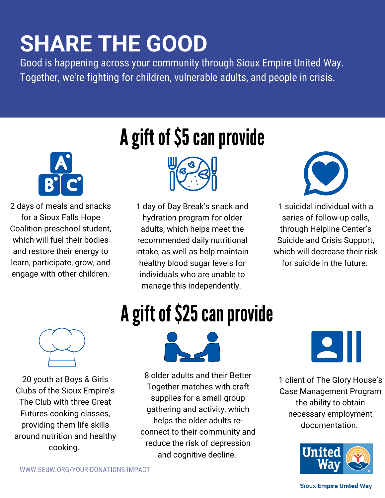## **SHARE THE GOOD**

Good is happening across your community through Sioux Empire United Way. Together, we're fighting for children, vulnerable adults, and people in crisis.



2 days of meals and snacks for a Sioux Falls Hope Coalition preschool student, which will fuel their bodies and restore their energy to learn, participate, grow, and engage with other children.

## A gift of \$5 can provide



1 day of Day Break's snack and hydration program for older adults, which helps meet the recommended daily nutritional intake, as well as help maintain healthy blood sugar levels for individuals who are unable to manage this independently.



1 suicidal individual with a series of follow-up calls, through Helpline Center's Suicide and Crisis Support, which will decrease their risk for suicide in the future.



20 youth at Boys & Girls Clubs of the Sioux Empire's The Club with three Great Futures cooking classes, providing them life skills around nutrition and healthy cooking.

## A gift of \$25 can provide



8 older adults and their Better Together matches with craft supplies for a small group gathering and activity, which helps the older adults reconnect to their community and reduce the risk of depression and cognitive decline.

 $\overline{\phantom{a}}$ 

1 client of The Glory House's Case Management Program the ability to obtain necessary employment documentation.



#### **Sioux Empire United Way**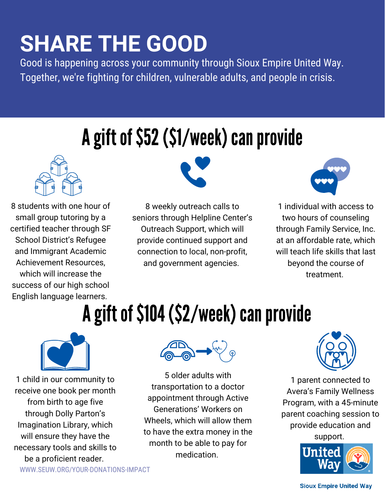## **SHARE THE GOOD**

Good is happening across your community through Sioux Empire United Way. Together, we're fighting for children, vulnerable adults, and people in crisis.

#### A gift of \$52 (\$1/week) can provide



8 students with one hour of small group tutoring by a certified teacher through SF School District's Refugee and Immigrant Academic Achievement Resources, which will increase the success of our high school English language learners.



8 weekly outreach calls to seniors through Helpline Center's Outreach Support, which will provide continued support and connection to local, non-profit, and government agencies.



1 individual with access to two hours of counseling through Family Service, Inc. at an affordable rate, which will teach life skills that last beyond the course of treatment.

## A gift of \$104 (\$2/week) can provide



1 child in our community to receive one book per month from birth to age five through Dolly Parton's Imagination Library, which will ensure they have the necessary tools and skills to be a proficient reader.





5 older adults with transportation to a doctor appointment through Active Generations' Workers on Wheels, which will allow them to have the extra money in the month to be able to pay for medication.



1 parent connected to Avera's Family Wellness Program, with a 45-minute parent coaching session to provide education and

support.



#### **Sioux Empire United Way**